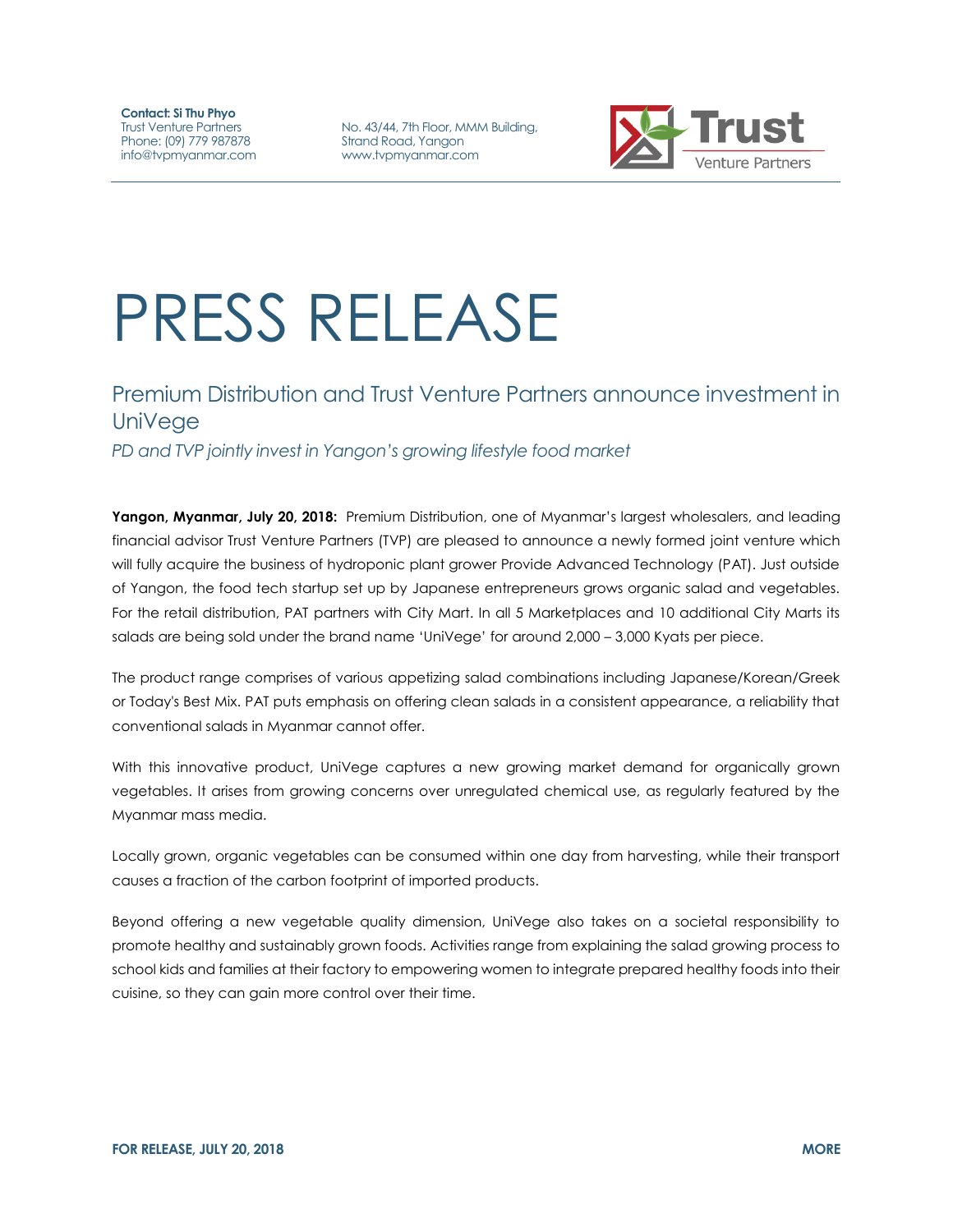**Contact: Si Thu Phyo** Trust Venture Partners Phone: (09) 779 987878 info@tvpmyanmar.com

No. 43/44, 7th Floor, MMM Building, Strand Road, Yangon www.tvpmyanmar.com



## PRESS RELEASE

## Premium Distribution and Trust Venture Partners announce investment in UniVege

*PD and TVP jointly invest in Yangon's growing lifestyle food market*

Yangon, Myanmar, July 20, 2018: Premium Distribution, one of Myanmar's largest wholesalers, and leading financial advisor Trust Venture Partners (TVP) are pleased to announce a newly formed joint venture which will fully acquire the business of hydroponic plant grower Provide Advanced Technology (PAT). Just outside of Yangon, the food tech startup set up by Japanese entrepreneurs grows organic salad and vegetables. For the retail distribution, PAT partners with City Mart. In all 5 Marketplaces and 10 additional City Marts its salads are being sold under the brand name 'UniVege' for around 2,000 – 3,000 Kyats per piece.

The product range comprises of various appetizing salad combinations including Japanese/Korean/Greek or Today's Best Mix. PAT puts emphasis on offering clean salads in a consistent appearance, a reliability that conventional salads in Myanmar cannot offer.

With this innovative product, UniVege captures a new growing market demand for organically grown vegetables. It arises from growing concerns over unregulated chemical use, as regularly featured by the Myanmar mass media.

Locally grown, organic vegetables can be consumed within one day from harvesting, while their transport causes a fraction of the carbon footprint of imported products.

Beyond offering a new vegetable quality dimension, UniVege also takes on a societal responsibility to promote healthy and sustainably grown foods. Activities range from explaining the salad growing process to school kids and families at their factory to empowering women to integrate prepared healthy foods into their cuisine, so they can gain more control over their time.